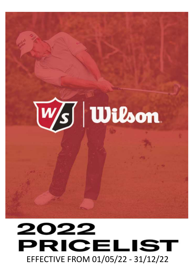

# 2022 PRICELIST EFFECTIVE FROM 01/05/22 - 31/12/22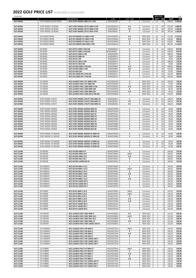| 25.04.2022             |                                              |                                                                          |                            |             |                                    | <b>INDV STICK</b>                            |                            | <b>EUR</b>       |
|------------------------|----------------------------------------------|--------------------------------------------------------------------------|----------------------------|-------------|------------------------------------|----------------------------------------------|----------------------------|------------------|
|                        |                                              | <b>DESCRIPTION</b>                                                       | CODE                       | FLEX / SIZE |                                    | <b>WSP</b><br><b>SRP</b>                     | <b>WSP</b>                 | <b>SRP</b>       |
| W/S IRONS              | STAFF MODEL BLADE IRONS                      | W/S STAFF MODEL MRH STL 3-PW                                             | WGR180200+                 | S           | Carryover                          | 113<br>180                                   | 900,00                     | 1.440,00         |
| W/S IRONS              | STAFF MODEL CB IRONS                         | W/S STAFF MODEL CB STL MRH 5-PW                                          | WG1P003101+                | R S         | Carryover                          | 113<br>180                                   | 675,00                     | 1.080,00         |
| W/S IRONS              | STAFF MODEL CB IRONS                         | W/S STAFF MODEL CB STL MRH 4-PW                                          | WGR200035+                 | R S         | Carryover                          | 113<br>180                                   | 787,50                     | 1.260,00         |
| W/S IRONS              | STAFF MODEL CB IRONS                         | W/S STAFF MODEL CB STL MLH 4-PW                                          | WGR20004L+                 | R           | Carryover                          | 113<br>180                                   | 787,50                     | 1.260,00         |
| W/S IRONS              | <b>D9 FORGED IRONS</b>                       | W/S D9 FORGED STL MRH 4-PW                                               | WG1P026001+                | R S         | <b>NEW 2022</b>                    | 103<br>165                                   | 721,00                     | 1.155,00         |
| W/S IRONS              | <b>D9 FORGED IRONS</b>                       | W/S D9 FORGED STL MRH 5-PW                                               | WG1P026003+                | R S         | <b>NEW 2022</b>                    | 165<br>103                                   | 618,00                     | 990,00           |
| W/S IRONS              | <b>D9 FORGED IRONS</b>                       | W/S D9 FORGED STL MLH 5-PW                                               | WG1P026004+                | R           | <b>NEW 2022</b>                    | 165<br>103                                   | 618,00                     | 990,00           |
| W/S IRONS              | <b>D9 FORGED IRONS</b>                       | W/S D9 FORGED GRA MRH 5-PW                                               | WG1P026101+                | R           | <b>NEW 2022</b>                    | 185<br>114                                   | 681,00                     | 1.110,00         |
| W/S IRONS              | <b>D9 IRONS</b>                              | W/S D9 STL MRH 5-PW,SW                                                   | WGR200010+                 | U           | Carryover                          | 125<br>78                                    | 546,00                     | 875,00           |
| W/S IRONS              | <b>D9 IRONS</b>                              | W/S D9 STL MRH 5-PW,GW                                                   | WGR200000+                 | U           | Carryover                          | 78<br>125                                    | 546,00                     | 875,00           |
| W/S IRONS              | <b>D9 IRONS</b>                              | W/S D9 STL MRH 5-PW                                                      | WGR200020+                 | U           | Carryover                          | 78<br>125                                    | 468,00                     | 750,00           |
| W/S IRONS              | <b>D9 IRONS</b>                              | W/S D9 STL MRH #4                                                        | WGR200013+                 | U           | Carryover                          | 78<br>125                                    | 78,00                      | 125,00           |
| W/S IRONS              | <b>D9 IRONS</b>                              | W/S D9 STL GW                                                            | WGR200014+                 | U           | Carryover                          | 78<br>125                                    | 78,00                      | 125,00           |
| W/S IRONS<br>W/S IRONS | <b>D9 IRONS</b><br><b>D9 IRONS</b>           | W/S D9 STL MLH 5-PW<br>W/S D9 STL MLH SW                                 | WGR20002L+<br>WGR200017+   | U<br>U      | Carryover<br>Carryover             | 78<br>125<br>78<br>125                       | 468,00<br>78,00            | 750,00<br>125,00 |
| W/S IRONS              | <b>D9 IRONS</b>                              | W/S D9 GRA MRH 5-PW,SW                                                   | WGR200060+                 | AR          | Carryover                          | 140<br>87                                    | 609,00                     | 980,00           |
| W/S IRONS              | <b>D9 IRONS</b>                              | W/S D9 GRA MRH 5-PW                                                      | WGR200080+                 | AR          | Carryover                          | 87<br>140                                    | 522,00                     | 840,00           |
| W/S IRONS              | <b>D9 IRONS</b>                              | W/S D9 GRA GW                                                            | WGR200015+                 | R           | Carryover                          | 140<br>87                                    | 87,00                      | 140,00           |
| W/S IRONS<br>W/S IRONS | <b>D9 IRONS</b><br><b>D9 IRONS</b>           | W/S D9 LADIES RH 6-PW,SW<br>W/S D9 LADIES RH 7-PW,SW                     | WGR200011+<br>WGR200012+   | L<br>L      | Carryover<br>Carryover             | 140<br>87<br>87<br>140                       | 522,00<br>435,00           | 840,00<br>700,00 |
|                        |                                              |                                                                          |                            |             |                                    |                                              |                            |                  |
| W/S IRONS              | LP2 IRONS                                    | W/S LAUNCH PAD 2 STL MRH 5-PW                                            | WG1P026203+                | U           | <b>NEW 2022</b>                    | 120<br>76                                    | 456,00                     | 720,00           |
| W/S IRONS              | LP2 IRONS                                    | W/S LAUNCH PAD 2 STL MRH SW                                              | WG1P026205+                | U           | <b>NEW 2022</b>                    | 120<br>76                                    | 76,00                      | 120,00           |
| W/S IRONS              | LP2 IRONS<br>LP2 IRONS                       | W/S LAUNCH PAD 2 GRA MRH 5-PW<br>W/S LAUNCH PAD 2 GRA MRH GW             | WG1P026302+                | AR          | <b>NEW 2022</b><br><b>NEW 2022</b> | 86<br>135                                    | 513,00                     | 810,00           |
| W/S IRONS<br>W/S IRONS | LP2 IRONS                                    | W/S LAUNCH PAD 2 GRA MRH SW                                              | WG1P026304+<br>WG1P026303+ | R<br>AR     | <b>NEW 2022</b>                    | 135<br>86<br>135<br>86                       | 85,50<br>85,50             | 135,00<br>135,00 |
| W/S IRONS              | <b>LP2 IRONS</b>                             | W/S LAUNCH PAD 2 GRA LRH 6-PW,SW                                         | WG1P026603+                | L           | <b>NEW 2022</b>                    | 135<br>86                                    | 513,00                     | 810,00           |
|                        |                                              |                                                                          |                            |             |                                    |                                              |                            |                  |
| W/S IRONS              | STAFF MODEL UTILITY                          | W/S STAFF MODEL UTILITY GRA MRH 18                                       | WGR180301+                 | s           | Carryover                          | 235<br>147                                   | 146,50                     | 235,00           |
| W/S IRONS<br>W/S IRONS | STAFF MODEL UTILITY<br>STAFF MODEL UTILITY   | W/S STAFF MODEL UTILITY GRA MRH 21<br>W/S STAFF MODEL UTILITY GRA MRH 24 | WGR180302+<br>WGR180303+   | R S<br>R S  | Carryover                          | 235<br>147<br>235<br>147                     | 146,50<br>146,50           | 235,00<br>235,00 |
|                        |                                              |                                                                          |                            |             | Carryover                          |                                              |                            |                  |
| W/S IRONS              | STAFF MODEL WEDGE                            | W/S STAFF MODEL WEDGE MRH 50                                             | WGW970500+                 | s           | Carryover                          | 150<br>95                                    | 95,00                      | 149,99           |
| W/S IRONS              | STAFF MODEL WEDGE                            | W/S STAFF MODEL WEDGE MRH 52                                             | WGW970520+                 | S           | Carryover                          | 95<br>150                                    | 95,00                      | 149,99           |
| W/S IRONS              | STAFF MODEL WEDGE                            | W/S STAFF MODEL WEDGE MLH 52                                             | WGW97052L+                 | s           | Carryover                          | 95<br>150                                    | 95,00                      | 149,99           |
| W/S IRONS<br>W/S IRONS | STAFF MODEL WEDGE<br>STAFF MODEL WEDGE       | W/S STAFF MODEL WEDGE MRH 54<br>W/S STAFF MODEL WEDGE MRH 56             | WGW970540+<br>WGW970560+   | S<br>S      | Carryover<br>Carryover             | 95<br>150<br>95<br>150                       | 95,00<br>95,00             | 149,99<br>149,99 |
| W/S IRONS              | STAFF MODEL WEDGE                            | W/S STAFF MODEL WEDGE MLH 56                                             | WGW97056L+                 | s           | Carryover                          | 95<br>150                                    | 95,00                      | 149,99           |
| W/S IRONS              | STAFF MODEL WEDGE                            | W/S STAFF MODEL WEDGE MRH 58                                             | WGW970580+                 | S           | Carryover                          | 95<br>150                                    | 95,00                      | 149,99           |
| W/S IRONS              | STAFF MODEL WEDGE                            | W/S STAFF MODEL WEDGE MRH 60                                             | WGW970600+                 | s           | Carryover                          | 95<br>150                                    | 95,00                      | 149,99           |
| W/S IRONS              | STAFF MODEL WEDGE                            | W/S STAFF MODEL WEDGE MLH 60                                             | WGW97060L+                 | s           | Carryover                          | 95<br>150                                    | 95,00                      | 149,99           |
| W/S IRONS              | STAFF MODEL HT WEDGE                         | W/S STAFF MODEL WEDGE HT MRH 56                                          | WGW975560+                 | s           | Carryover                          | 95<br>150                                    | 95,00                      | 149,99           |
| W/S IRONS              | STAFF MODEL HT WEDGE                         | W/S STAFF MODEL WEDGE HT MRH 60                                          | WGW975600+                 | s           | Carryover                          | 150<br>95                                    | 95,00                      | 149,99           |
|                        |                                              |                                                                          |                            |             |                                    |                                              |                            |                  |
| W/S IRONS              | STAFF MODEL TG WEDGE<br>STAFF MODEL TG WEDGE | W/S STAFF MODEL WEDGE TG MRH 56<br>W/S STAFF MODEL WEDGE TG MRH 58       | WGW979560+<br>WGW979558+   | s<br>S      | Carryover                          | 150<br>95<br>95<br>150                       | 95,00<br>95,00             | 149,99<br>149,99 |
| W/S IRONS<br>W/S IRONS | STAFF MODEL TG WEDGE                         | W/S STAFF MODEL WEDGE TG MRH 60                                          | WGW979600+                 | S           | Carryover<br>Carryover             | 150<br>95                                    | 95,00                      | 149,99           |
|                        |                                              |                                                                          |                            |             |                                    |                                              |                            |                  |
| W/S CLUBS              | <b>D9 DRIVER</b>                             | W/S D9 DRV MRH 9.0                                                       | WGW470000+                 | s           | Carryover                          | 0<br>0                                       | 240,00                     | 379,99           |
| W/S CLUBS              | <b>D9 DRIVER</b>                             | W/S D9 DRV MRH 10.5                                                      | WGW470050+                 | ARS         | Carryover                          | 0<br>0                                       | 240,00                     | 379,99           |
| W/S CLUBS<br>W/S CLUBS | <b>D9 DRIVER</b><br><b>D9 DRIVER</b>         | W/S D9 DRV MRH 13.0<br>W/S D9 DRV MLH 10.5                               | WGW470010+<br>WGW47005L+   | ΑR<br>R     | Carryover<br>Carryover             | 0<br>0                                       | 240,00<br>0<br>240,00<br>0 | 379,99<br>379,99 |
| W/S CLUBS              | <b>D9 DRIVER</b>                             | W/S D9 DRV LADIES RH HL                                                  | WGW470015+                 | L           | Carryover                          | 0                                            | 0<br>240,00                | 379,99           |
|                        |                                              |                                                                          |                            |             |                                    |                                              |                            |                  |
| W/S CLUBS              | <b>D9 FAIRWAY</b>                            | W/S D9 FW MRH 3 13.5                                                     | WGW470040+                 | s           | Carryover                          | 0                                            | 164,50<br>0                | 259,99           |
| W/S CLUBS<br>W/S CLUBS | <b>D9 FAIRWAY</b><br><b>D9 FAIRWAY</b>       | W/S D9 FW MRH 3 15.0<br>W/S D9 FW MLH 3 15.0                             | WGW470045+<br>WGW47004L+   | ARS<br>R    | Carryover<br>Carryover             | 0<br>$\cal O$<br>0                           | 0<br>164,50<br>164,50      | 259,99<br>259,99 |
| W/S CLUBS              | <b>D9 FAIRWAY</b>                            | W/S D9 FW MRH 5 18.0                                                     | WGW470320+                 | AR          | Carryover                          | 0                                            | 0<br>164,50                | 259,99           |
| W/S CLUBS              | <b>D9 FAIRWAY</b>                            | W/S D9 FW MLH 5 18.0                                                     | WGW47032L+                 | R           | Carryover                          | 0<br>0                                       | 164,50                     | 259,99           |
| W/S CLUBS              | <b>D9 FAIRWAY</b>                            | W/S D9 FW MRH 7 21.0                                                     | WGW470055+                 | AR          | Carryover                          | 0<br>$\pmb{\mathit{o}}$                      | 164,50                     | 259,99           |
| W/S CLUBS<br>W/S CLUBS | <b>D9 FAIRWAY</b><br><b>D9 FAIRWAY</b>       | W/S D9 FW LADIES RH 3<br>W/S D9 FW LADIES RH 5                           | WGW470060+<br>WGW470065+   | L<br>L      | Carryover<br>Carryover             | 0<br>$\pmb{\mathit{o}}$<br>0                 | 164,50<br>164,50<br>0      | 259,99<br>259,99 |
| W/S CLUBS              | <b>D9 FAIRWAY</b>                            | W/S D9 FW LADIES RH 7                                                    | WGW470070+                 | L           | Carryover                          | $\pmb{\mathit{o}}$<br>0                      | 164,50                     | 259,99           |
|                        |                                              |                                                                          |                            |             |                                    |                                              |                            |                  |
| W/S CLUBS              | D9 HYBRID                                    | W/S D9 HY MRH 3 19.0                                                     | WGW470095+                 | ARS         | Carryover                          | 0<br>0                                       | 145,50                     | 229,99           |
| W/S CLUBS              | D9 HYBRID<br>D9 HYBRID                       | W/S D9 HY MRH 4 22.0                                                     | WGW470105+                 | ARS         | Carryover                          | $\mathcal O$<br>0                            | 145,50                     | 229,99           |
| W/S CLUBS<br>W/S CLUBS | D9 HYBRID                                    | W/S D9 HY MLH 4 22.0<br>W/S D9 HY MRH 5 25.0                             | WGW47010L+<br>WGW470150+   | R<br>AR     | Carryover<br>Carryover             | $\pmb{\mathit{o}}$<br>0<br>$\cal O$<br>0     | 145,50<br>145,50           | 229,99<br>229,99 |
| W/S CLUBS              | D9 HYBRID                                    | W/S D9 HY MRH 6 28.0                                                     | WGW470200+                 | AR          | Carryover                          | $\mathcal O$<br>0                            | 145,50                     | 229,99           |
| W/S CLUBS              | D9 HYBRID                                    | W/S D9 HY LADIES RH 4                                                    | WGW470210+                 | L           | Carryover                          | 0                                            | 145,50<br>0                | 229,99           |
| W/S CLUBS              | D9 HYBRID                                    | W/S D9 HY LADIES RH 5                                                    | WGW470215+                 | L           | Carryover                          | 0<br>$\pmb{\mathit{o}}$                      | 145,50                     | 229,99           |
| W/S CLUBS              | D9 HYBRID                                    | W/S D9 HY LADIES RH 6                                                    | WGW470220+                 | L           | Carryover                          | 0                                            | 145,50<br>0                | 229,99           |
| W/S CLUBS              | LP2 DRIVER                                   | W/S LAUNCH PAD 2 DRV MRH 9                                               | WG1P026801+                | R S         | <b>NEW 2022</b>                    | 0<br>0                                       | 221,00                     | 349,99           |
| W/S CLUBS              | <b>LP2 DRIVER</b>                            | W/S LAUNCH PAD 2 DRV MRH 10.5                                            | WG1P026802+                | ARS         | <b>NEW 2022</b>                    | $\pmb{\mathit{o}}$<br>0                      | 221,00                     | 349,99           |
| W/S CLUBS              | <b>LP2 DRIVER</b>                            | W/S LAUNCH PAD 2 DRV MLH 10.5                                            | WG1P026803+                | R           | <b>NEW 2022</b>                    | 0<br>$\pmb{\mathit{o}}$                      | 221,00                     | 349,99           |
| W/S CLUBS<br>W/S CLUBS | <b>LP2 DRIVER</b><br>LP2 DRIVER              | W/S LAUNCH PAD 2 DRV MRH 13<br>W/S LAUNCH PAD 2 DRV LADIES LRH HL        | WG1P026804+<br>WG1P026901+ | AR<br>г     | <b>NEW 2022</b><br><b>NEW 2022</b> | 0<br>0                                       | 221,00<br>0<br>0<br>221,00 | 349,99<br>349,99 |
|                        |                                              |                                                                          |                            |             |                                    |                                              |                            |                  |
| W/S CLUBS              | LP2 FAIRWAY                                  | W/S LAUNCH PAD 2 FW MRH 3                                                | WG1P027201+                | ARS         | <b>NEW 2022</b>                    | 0<br>0                                       | 145,50                     | 229,99           |
| W/S CLUBS              | <b>LP2 FAIRWAY</b>                           | W/S LAUNCH PAD 2 FW MLH 3                                                | WG1P027203+                | R           | <b>NEW 2022</b>                    | 0                                            | 145,50<br>0                | 229,99           |
| W/S CLUBS<br>W/S CLUBS | <b>LP2 FAIRWAY</b><br><b>LP2 FAIRWAY</b>     | W/S LAUNCH PAD 2 FW MRH 5<br>W/S LAUNCH PAD 2 FW MLH 5                   | WG1P027202+<br>WG1P027204+ | AR<br>R     | <b>NEW 2022</b><br><b>NEW 2022</b> | 0<br>0<br>0<br>$\pmb{\mathit{o}}$            | 145,50<br>145,50           | 229,99<br>229,99 |
| W/S CLUBS              | <b>LP2 FAIRWAY</b>                           | W/S LAUNCH PAD 2 FW LADIES LRH 3                                         | WG1P027301+                | L           | <b>NEW 2022</b>                    | 0<br>$\cal O$                                | 145,50                     | 229,99           |
| W/S CLUBS              | <b>LP2 FAIRWAY</b>                           | W/S LAUNCH PAD 2 FW LADIES LRH 5                                         | WG1P027302+                | г           | <b>NEW 2022</b>                    | 0                                            | 145,50<br>0                | 229,99           |
| W/S CLUBS              | <b>LP2 FAIRWAY</b>                           | W/S LAUNCH PAD 2 FW LADIES LRH 7                                         | WG1P027303+                | г           | <b>NEW 2022</b>                    | 0<br>0                                       | 145,50                     | 229,99           |
| W/S CLUBS              | LP2 HYBRID                                   | W/S LAUNCH PAD 2 HY MRH FY                                               | WG1P027601+                | ARS         | <b>NEW 2022</b>                    | 0<br>0                                       | 126,50                     | 199,99           |
| W/S CLUBS              | LP2 HYBRID                                   | W/S LAUNCH PAD 2 HY MLH FY                                               | WG1P027602+                | R           | <b>NEW 2022</b>                    | $\mathcal O$<br>0                            | 126,50                     | 199,99           |
| W/S CLUBS              | LP2 HYBRID                                   | W/S LAUNCH PAD 2 HY MRH 4                                                | WG1P027603+                | AR          | <b>NEW 2022</b>                    | $\pmb{\mathit{o}}$<br>0                      | 126,50                     | 199,99           |
| W/S CLUBS              | LP2 HYBRID                                   | W/S LAUNCH PAD 2 HY MLH 4                                                | WG1P027604+                | R           | <b>NEW 2022</b>                    | $\cal O$<br>0                                | 126,50                     | 199,99           |
| W/S CLUBS<br>W/S CLUBS | LP2 HYBRID<br>LP2 HYBRID                     | W/S LAUNCH PAD 2 HY MRH 5<br>W/S LAUNCH PAD 2 HY LADIES LRH FY           | WG1P027605+<br>WG1P027701+ | AR<br>г     | <b>NEW 2022</b><br><b>NEW 2022</b> | $\pmb{\mathit{o}}$<br>0<br>0<br>$\mathcal O$ | 126,50<br>126,50           | 199,99<br>199,99 |
| W/S CLUBS              | LP2 HYBRID                                   | W/S LAUNCH PAD 2 HY LADIES LRH 4                                         | WG1P027702+                | L           | <b>NEW 2022</b>                    | 0                                            | 126,50<br>0                | 199,99           |
| W/S CLUBS              | LP2 HYBRID                                   | W/S LAUNCH PAD 2 HY LADIES LRH 5                                         | WG1P027703+                | L           | <b>NEW 2022</b>                    | 0<br>$\pmb{\mathit{o}}$                      | 126,50                     | 199,99           |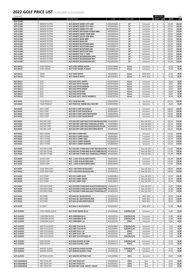| 25.04.2022             |                                                  |                                                               |                                 |                |                            | <b>INDV STICK</b>        |                  | <b>EUR</b>       |
|------------------------|--------------------------------------------------|---------------------------------------------------------------|---------------------------------|----------------|----------------------------|--------------------------|------------------|------------------|
|                        |                                                  | <b>DESCRIPTION</b>                                            | CODE                            | FLEX / SIZE    |                            | <b>SRP</b><br><b>WSP</b> | <b>WSP</b>       | <b>SRP</b>       |
| W/S CLUBS<br>W/S CLUBS | <b>INFINITE PUTTER</b>                           | W/S INFINITE WINDY CITY MRH                                   | WGW903000+                      | 34"            | Carryover                  | 0<br>0                   | 103,00           | 165,00           |
| W/S CLUBS              | <b>INFINITE PUTTER</b>                           | W/S INFINITE WINDY CITY MLH                                   | WGW90300L+                      | 34"            | Carryover                  | 0<br>$\pmb{\mathit{o}}$  | 103,00           | 165,00           |
| W/S CLUBS              | <b>INFINITE PUTTER</b>                           | W/S INFINITE WINDY CITY LRH                                   | WGW90300W+                      | 33"            | Carryover                  | 0<br>$\pmb{\mathit{o}}$  | 103,00           | 165,00           |
| W/S CLUBS              | <b>INFINITE PUTTER</b>                           | W/S INFINITE MICHIGAN AVENUE MRH                              | WGW903050+                      | 34"            | Carryover                  | 0<br>0                   | 103,00           | 165,00           |
| W/S CLUBS<br>W/S CLUBS | <b>INFINITE PUTTER</b><br><b>INFINITE PUTTER</b> | W/S INFINITE GRANT PARK MRH<br>W/S INFINITE SOUTH SIDE MRH    | WGW903100+<br>WGW903150+        | 34"<br>34"     | Carryover<br>Carryover     | 0<br>$\it{O}$<br>0<br>0  | 103,00<br>103,00 | 165,00<br>165,00 |
| W/S CLUBS              | <b>INFINITE PUTTER</b>                           | W/S INFINITE BEAN MRH                                         | WGW903250+                      | 34"            | Carryover                  | 0<br>0                   | 103,00           | 165,00           |
| W/S CLUBS              | <b>INFINITE PUTTER</b>                           | W/S INFINITE BEAN LRH                                         | WGW903260+                      | 33"            | Carryover                  | 0<br>0                   | 103,00           | 165,00           |
| W/S CLUBS              | <b>INFINITE PUTTER</b>                           | W/S INFINITE BUCKTOWN MRH                                     | WGW903270+                      | 34"            | Carryover                  | 0<br>0                   | 103,00           | 165,00           |
| W/S CLUBS              | <b>INFINITE PUTTER</b>                           | W/S INFINITE BUCKTOWN MLH                                     | WGW90327L+                      | 34"            | Carryover                  | 0<br>0                   | 103,00           | 165,00           |
| W/S CLUBS              | <b>INFINITE PUTTER</b>                           | W/S INFINITE BUCKTOWN LRH                                     | WGW90327W-                      | 33"<br>34"     | Carryover                  | 0<br>0                   | 103,00           | 165,00           |
| W/S CLUBS<br>W/S CLUBS | <b>INFINITE PUTTER</b><br><b>INFINITE PUTTER</b> | W/S INFINITE WESTLOOP MRH<br>W/S INFINITE THE "L" MRH         | WGW903280+<br>WGW903290+        | 34"            | Carryover<br>Carryover     | 0<br>0<br>0<br>0         | 103,00<br>103,00 | 165,00<br>165,00 |
| W/S CLUBS              | <b>INFINITE PUTTER</b>                           | W/S INFINITE BUCKINGHAM MRH                                   | WGW903350+                      | 34"            | Carryover                  | $\it{O}$<br>0            | 103,00           | 165,00           |
| W/S CLUBS              | <b>INFINITE PUTTER</b>                           | W/S INFINITE BUCKINGHAM MLH                                   | WGW90335L+                      | 34"            | Carryover                  | 0<br>0                   | 103,00           | 165,00           |
| W/S CLUBS              | <b>INFINITE PUTTER</b>                           | W/S INFINITE BUCKINGHAM LRH                                   | WGW903360+                      | 33"            | Carryover                  | 0<br>0                   | 103,00           | 165,00           |
|                        |                                                  |                                                               |                                 |                |                            |                          |                  |                  |
| W/S BALLS<br>W/S BALLS | <b>STAFF MODEL</b><br><b>STAFF MODEL</b>         | W/S STAFF MODEL WHITE<br>W/S STAFF MODEL R WHITE              | WGWP29000+<br>WGWP29050+        | Dozen<br>Dozen | Carryover<br>Carryover     | 0<br>0<br>0<br>0         | 35,00<br>35,00   | 54,99<br>54,99   |
|                        |                                                  |                                                               |                                 |                |                            |                          |                  |                  |
| W/S BALLS              | TRIAD                                            | W/S TRIAD WHITE                                               | WG2004901+                      | Dozen          | <b>NEW 2022</b>            | 0<br>0                   | 25,50            | 39,99            |
| W/S BALLS              | TRIAD                                            | W/S TRIAD R WHITE                                             | WG2005001+                      | Dozen          | <b>NEW 2022</b>            | 0<br>0                   | 25,50            | 39,99            |
|                        |                                                  |                                                               |                                 |                |                            |                          |                  |                  |
| W/S BALLS<br>W/S BALLS | DUO<br><b>DUO</b>                                | W/S DUO SOFT+ WHITE<br>W/S DUO OPTIX YELLOW                   | WGWP50050+<br>WGWP50200+        | Dozen<br>Dozen | Carryover<br>Carryover     | 0<br>0<br>0<br>0         | 18,60<br>18,60   | 29,99<br>29,99   |
| W/S BALLS              | <b>DUO</b>                                       | W/S DUO OPTIX ORANGE                                          | WGWP50300+                      | Dozen          | Carryover                  | 0<br>0                   | 18,60            | 29,99            |
| W/S BALLS              | DUO                                              | W/S DUO OPTIX GREEN                                           | WGWP50400+                      | Dozen          | Carryover                  | 0<br>0                   | 18,60            | 29,99            |
| W/S BALLS              | <b>DUO</b>                                       | W/S DUO OPTIX RED                                             | WGWP50500+                      | Dozen          | Carryover                  | 0<br>0                   | 18,60            | 29,99            |
| W/S BALLS              | <b>DUO</b>                                       | W/S DUO OPTIX PINK                                            | WGWP50900+                      | Dozen          | Carryover                  | 0<br>0                   | 18,60            | 29,99            |
| W/S BALLS              | <b>DUO</b>                                       | W/S DUO SOFT+ WHITE WOMEN'S                                   | WGWP50700+                      | Dozen          | Carryover                  | 0<br>0                   | 18,60            | 29,99            |
| W/S BAGS               | <b>TOUR PRODUCT</b>                              | W/S TOUR BAG RED                                              | WGB4300RW+                      |                | Carryover                  | 0<br>0                   | 355,50           | 569,99           |
| W/S BAGS               | <b>TOUR PRODUCT</b>                              | W/S PRACTICE RANGE BALL BAG RED                               | WGB4500RW+                      |                | Carryover                  | 0<br>0                   | 35,00            | 59,99            |
|                        |                                                  |                                                               |                                 |                |                            |                          |                  |                  |
| W/S BAGS               | <b>EXO II CART</b>                               | W/S EXO II CART BLUE/BLUE                                     | WGB6650BL+                      |                | Carryover                  | 0<br>0                   | 140,00           | 229,99           |
| W/S BAGS               | <b>EXO II CART</b>                               | W/S EXO II CART BLACK/BLUE                                    | WGB6650BU+                      |                | Carryover                  | 0<br>0                   | 140,00           | 229,99           |
| W/S BAGS<br>W/S BAGS   | <b>EXO II CART</b><br><b>EXO II CART</b>         | W/S EXO II CART NAVY/WHITE/RED<br>W/S EXO II CART BLACK/WHITE | <b>WGB6650NA+</b><br>WGB6650WM+ |                | Carryover                  | 0<br>0<br>0<br>0         | 140,00<br>140,00 | 229,99<br>229,99 |
|                        |                                                  |                                                               |                                 |                | Carryover                  |                          |                  |                  |
| W/S BAGS               | <b>EXO DRY CART</b>                              | W/S EXO DRY CART BAG STAFF RED/BLACK/WH                       | WG4003801+                      |                | New Q4 2021                | 0<br>0                   | 182,50           | 319,99           |
| W/S BAGS               | <b>EXO DRY CART</b>                              | W/S EXO DRY CART BAG CHARCOAL/CITRON                          | WG4003802+                      |                | New Q4 2021                | $\it{O}$<br>0            | 182,50           | 319,99           |
| W/S BAGS               | <b>EXO DRY CART</b>                              | W/S EXO DRY CART BAG BLACK/BLACK/SILVER                       | WG4003803+                      |                | New Q4 2021                | 0<br>0                   | 182,50           | 319,99           |
| W/S BAGS               | <b>EXO DRY CART</b>                              | W/S EXO DRY CART BAG NAVY/RED/WHITE                           | WG4003804+                      |                | New Q4 2021                | 0<br>0                   | 182,50           | 319,99           |
| W/S BAGS               | <b>EXO II STAND</b>                              | W/S EXO II CARRY RED                                          | WGB6600RD+                      |                | Carryover                  | 0<br>$\pmb{\mathit{o}}$  | 125,50           | 219,99           |
| W/S BAGS               | <b>EXO II STAND</b>                              | W/S EXO II CARRY BLBLSI                                       | WGB6600BL+                      |                | Carryover                  | 0<br>0                   | 125,50           | 219,99           |
| W/S BAGS               | EXO II STAND                                     | W/S EXO II CARRY BLBU                                         | WGB6600BU+                      |                | Carryover                  | 0<br>0                   | 125,50           | 219,99           |
| W/S BAGS               | <b>EXO II STAND</b>                              | W/S EXO II CARRY WHBLRD                                       | WGB6600WH+                      |                | Carryover                  | 0<br>0                   | 125,50           | 219,99           |
| W/S BAGS               | <b>EXO II STAND</b>                              | W/S EXO II CARRY NAWHRD                                       | <b>WGB6600NA+</b>               |                | Carryover                  | 0<br>0                   | 125,50           | 219,99           |
| W/S BAGS               | <b>EXO DRY STAND</b>                             | W/S EXO DRY STAND BAG STAFF RED/BLACK/W                       | WG4003901+                      |                | New Q4 2021                | 0<br>0                   | 171,00           | 299,99           |
| W/S BAGS               | <b>EXO DRY STAND</b>                             | W/S EXO DRY STAND BAG BLACK/CHARCOAL/S                        | WG4003902+                      |                | New Q4 2021                | 0<br>$\pmb{\mathit{o}}$  | 171,00           | 299,99           |
| W/S BAGS               | <b>EXO DRY STAND</b>                             | W/S EXO DRY STAND BAG CHARCOAL/CITRON/                        | WG4003903+                      |                | New Q4 2021                | 0<br>0                   | 171,00           | 299,99           |
|                        |                                                  |                                                               |                                 |                |                            |                          |                  |                  |
| W/S BAGS               | <b>ILOCK3 CART</b>                               | W/S I LOCK III BLUE/GREY/WHITE                                | WGB4330BL+                      |                | Carryover                  | 0<br>0                   | 131,00           | 229,99           |
| W/S BAGS<br>W/S BAGS   | <b>ILOCK3 CART</b><br><b>ILOCK3 CART</b>         | W/S I LOCK III BLUE/GREY/RED<br>W/S I LOCK III NAVY/GREY/GREY | WGB4330GY+<br>WGB4330NA+        |                | Carryover                  | 0<br>0<br>0<br>0         | 131,00<br>131,00 | 229,99<br>229,99 |
|                        |                                                  |                                                               |                                 |                | Carryover                  |                          |                  |                  |
| W/S BAGS               | <b>ILOCK RAIN CART</b>                           | W/S I LOCK RAIN BLACK/GREY                                    | WGB4331BL+                      |                | New Q4 2021                | 0<br>0                   | 148,00           | 259,99           |
| W/S BAGS               | <b>ILOCK RAIN CART</b>                           | W/S I LOCK RAIN BLACK/SILVER                                  | WG4000701+                      |                | New Q4 2021                | 0<br>0                   | 148,00           | 259,99           |
|                        |                                                  |                                                               |                                 |                |                            |                          |                  |                  |
| W/S BAGS<br>W/S BAGS   | <b>ECO STAND</b><br><b>ECO STAND</b>             | W/S ECO CARRY BLUE<br>W/S ECO CARRY GREEN                     | WGB6400BU+<br>WGB6400GR+        |                | New Q4 2021<br>New Q4 2021 | 0<br>0<br>0<br>0         | 85,50<br>85,50   | 149,99<br>149,99 |
| W/S BAGS               | <b>ECO STAND</b>                                 | W/S ECO CARRY GREY                                            | WGB6400GY+                      |                | New Q4 2021                | 0<br>0                   | 85,50            | 149,99           |
|                        |                                                  |                                                               |                                 |                |                            |                          |                  |                  |
| W/S BAGS               | <b>FEATHER STAND</b>                             | W/S FEATHER STAND BAG BLACK/CHARCOAL/S                        | WG4004301+                      |                | New Q4 2021                | 0<br>0                   | 91,00            | 159,99           |
| W/S BAGS               | <b>FEATHER STAND</b>                             | W/S FEATHER STAND BAG BLACK/SILVER/CITRO                      | WG4004302+                      |                | New Q4 2021                | 0<br>0                   | 91,00            | 159,99           |
| W/S BAGS               | <b>FEATHER STAND</b>                             | W/S FEATHER STAND BAG NAVY/CHARCOAL/LT                        | WG4004303+                      |                | New Q4 2021                | 0<br>0                   | 91,00            | 159,99           |
| W/S BAGS               | QS STAND                                         | W/S BAG QS BLACK/WHITE                                        | WG4004101+                      |                | <b>NEW 2022</b>            | 0<br>0                   | 68,50            | 119,99           |
| W/S BAGS               | QS STAND                                         | W/S BAG QS NAVY/WHITE/RED                                     | WG4004102+                      |                | <b>NEW 2022</b>            | 0<br>0                   | 68,50            | 119,99           |
| W/S BAGS               | QS STAND                                         | W/S BAG QS RED/WHITE/BLACK                                    | WG4004103+                      |                | <b>NEW 2022</b>            | 0<br>0                   | 68,50            | 119,99           |
|                        |                                                  |                                                               |                                 |                |                            |                          |                  |                  |
| W/S BAGS               | Q CARRY                                          | W/S BAG Q BLACK/WHITE                                         | WG4004201+                      |                | <b>NEW 2022</b>            | 0<br>0                   | 57,00            | 99,99            |
| W/S GLOVES             | STAFF MODEL GLOVE                                | W/S STAFF MODEL M LH                                          | WGJA00648+                      | S/M/ML/L/XL    | Carryover                  | 0<br>0                   | 20,85            | 32,99            |
|                        |                                                  |                                                               |                                 |                |                            |                          |                  |                  |
| W/S GLOVES             | <b>CONFORM GLOVE</b>                             | W/S CONFORM M LH                                              | WGJA00314+                      | S/M/ML/L/XL    | Carryover                  | 0<br>0                   | 15,80            | 24,99            |
| W/S GLOVES             | <b>CONFORM GLOVE</b>                             | W/S CONFORM M RH                                              | WGJA00315+                      | S/M/ML/L/XL    | Carryover                  | 0<br>0                   | 15,80            | 24,99            |
| W/S GLOVES             | <b>CONFORM GLOVE</b>                             | W/S CONFORM L LH                                              | WGJA00318+                      | S/M/L          | Carryover                  | 0<br>0                   | 15,80            | 24,99            |
| W/S GLOVES             | <b>GRIP PLUS GLOVE</b>                           | W/S GRIP PLUS M LH                                            | WGJA00680+                      | S/M/ML/L/XL    | Carryover                  | 0<br>0                   | 9,50             | 14,99            |
| W/S GLOVES             | <b>GRIP PLUS GLOVE</b>                           | W/S GRIP PLUS M RH                                            | WGJA00690+                      | S/M/ML/L/XL    | Carryover                  | 0<br>0                   | 9,50             | 14,99            |
| W/S GLOVES             | <b>GRIP PLUS GLOVE</b>                           | W/S GRIP PLUS L LH                                            | WGJA00101+                      | S/M/L          | Carryover                  | 0<br>0                   | 9,50             | 14,99            |
| W/S GLOVES             | <b>GRIP PLUS GLOVE</b>                           | W/S GRIP PLUS L RH                                            | WGJA00102+                      | S/M/L          | Carryover                  | 0<br>0                   | 9,50             | 14,99            |
| W/S GLOVES             | <b>GRIP PLUS GLOVE</b>                           | W/S GRIP PLUS M BLACK LH                                      | WGJA00103+                      | S/M/ML/L/XL    | Carryover                  | 0<br>0                   | 9,50             | 14,99            |
| W/S GLOVES             | <b>RAIN GLOVES</b>                               | W/S RAIN GLOVES M PAIR                                        | WGJA00117+                      | S/M/ML/L/XL    | Carryover                  | 0<br>0                   | 17,10            | 26,99            |
| W/S GLOVES             | <b>RAIN GLOVES</b>                               | W/S RAIN GLOVES L PAIR                                        | WGJA00127+                      | S/M/L          | Carryover                  | 0<br>0                   | 17,10            | 26,99            |
|                        |                                                  |                                                               |                                 |                |                            |                          |                  |                  |
| W/S GLOVES             | <b>WINTER GLOVES</b>                             | W/S WINTER GLOVES M PAIR                                      | WGJA00118+                      | S/M/ML/L/XL    | Carryover                  | 0<br>0                   | 17,10            | 26,99            |
| W/S GLOVES             | <b>WINTER GLOVES</b>                             | W/S WINTER GLOVES L PAIR                                      | WGJA00128+                      | S/M/L          | Carryover                  | 0<br>0                   | 17,10            | 26,99            |
| W/S GLOVES             | <b>MITTENS GLOVES</b>                            | W/S WINTER MITTENS PAIR                                       | WGJA00990+                      | <b>OSFA</b>    | Carryover                  | 0<br>0                   | 24,00            | 37,99            |
|                        |                                                  |                                                               |                                 |                |                            |                          |                  |                  |
| W/S HEADWEAR           | PRO TOUR CAP                                     | W/S PRO TOUR HAT                                              | WG5000202+                      | <b>OSFA</b>    | New                        | 0<br>0                   | 14,55            | 22,99            |
| W/S HEADWEAR           | PRO TOUR CAP                                     | W/S PRO TOUR HAT                                              | WG5000201+                      | <b>OSFA</b>    | New                        | 0<br>0                   | 14,55            | 22,99            |
| W/S HEADWEAR           | PRO TOUR CAP                                     | WILSON PRO TOUR - WHITE / BLACK                               | WGH7000051+                     | <b>OSFA</b>    | New                        | $\mathcal O$<br>0        | 14,55            | 22,99            |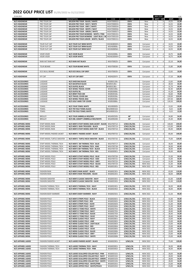| 25.04.2022                               |                                            |                                                                                     |                            |                              |                                    | <b>INDV STICK</b>        |                | <b>EUR</b>     |
|------------------------------------------|--------------------------------------------|-------------------------------------------------------------------------------------|----------------------------|------------------------------|------------------------------------|--------------------------|----------------|----------------|
|                                          |                                            | <b>DESCRIPTION</b>                                                                  | CODE                       | FLEX / SIZE                  |                                    | <b>WSP</b><br><b>SRP</b> | <b>WSP</b>     | <b>SRP</b>     |
| W/S HEADWEAR<br>W/S HEADWEAR             | PRO TOUR CAP<br>PRO TOUR CAP               | WILSON PRO TOUR - BLACK / WHITE<br>WILSON PRO TOUR - NAVY / WHITE                   | WGH7000052+<br>WGH7000053+ | <b>OSFA</b><br><b>OSFA</b>   | New<br>New                         | 0<br>0<br>0<br>0         | 14,55<br>14,55 | 22,99<br>22,99 |
| W/S HEADWEAR                             | PRO TOUR CAP                               | WILSON PRO TOUR - GREY / WHITE                                                      | WGH7000054+                | <b>OSFA</b>                  | New                                | 0<br>0                   | 14,55          | 22,99          |
| W/S HEADWEAR                             | PRO TOUR CAP                               | WILSON PRO TOUR - WHITE / NAVY                                                      | WGH7000056+                | <b>OSFA</b>                  | New                                | 0<br>0                   | 14,55          | 22,99          |
| W/S HEADWEAR                             | PRO TOUR CAP                               | WILSON PRO TOUR - GREEN / WHITE                                                     | WGH7000057+                | <b>OSFA</b>                  | New                                | 0<br>0                   | 14,55          | 22,99          |
| W/S HEADWEAR<br>W/S HEADWEAR             | PRO TOUR CAP<br>PRO TOUR CAP               | WILSON PRO TOUR WOMENS - WHITE / PINK<br>WILSON PRO TOUR WOMENS - LIGHT BLUE / W    | WGH7000101+<br>WGH7000103+ | <b>OSFA</b><br><b>OSFA</b>   | New<br>New                         | 0<br>0<br>0<br>0         | 14,55<br>14,55 | 22,99<br>22,99 |
| W/S HEADWEAR                             | PRO TOUR CAP                               | WILSON PRO TOUR JUNIOR - WHITE / BLACK                                              | WGH7000151+                | <b>OSFA</b>                  | New                                | 0<br>0                   | 14,55          | 22,99          |
|                                          |                                            |                                                                                     |                            |                              |                                    |                          |                |                |
| W/S HEADWEAR                             | <b>TOUR FLAT CAP</b>                       | W/S TOUR FLAT BRIM WHITE                                                            | WGH6080WH+                 | <b>OSFA</b>                  | Carryover                          | 0<br>0                   | 14,55          | 22,99          |
| W/S HEADWEAR                             | <b>TOUR FLAT CAP</b>                       | W/S TOUR FLAT BRIM BLACK                                                            | WGH6080BL+                 | <b>OSFA</b>                  | Carryover                          | 0<br>0                   | 14,55          | 22,99          |
| W/S HEADWEAR                             | <b>TOUR FLAT CAP</b>                       | W/S TOUR FLAT BRIM NAVY                                                             | WGH6080NA+                 | <b>OSFA</b>                  | Carryover                          | 0<br>0                   | 14,55          | 22,99          |
| W/S HEADWEAR                             | <b>VISOR VISOR</b>                         | W/S VISOR BLACK                                                                     | WGH6300BL+                 | <b>OSFA</b>                  | Carryover                          | 0<br>0                   | 10,75          | 16,99          |
| W/S HEADWEAR                             | <b>VISOR VISOR</b>                         | W/S VISOR WHITE                                                                     | WGH6300WH+                 | <b>OSFA</b>                  | Carryover                          | 0<br>0                   | 10,75          | 16,99          |
|                                          |                                            |                                                                                     |                            |                              |                                    |                          |                |                |
| W/S HEADWEAR                             | RAIN HAT RAIN HAT                          | W/S RAIN HAT BLACK                                                                  | WGH700025+                 | <b>OSFA</b>                  | Carryover                          | 0<br>0                   | 22,10          | 34,99          |
| W/S HEADWEAR                             | <b>TOUR BEANIE</b>                         | W/S TOUR BEANIE WHITE                                                               | WGH700030+                 | <b>OSFA</b>                  | Carryover                          | 0<br>0                   | 15,80          | 24,99          |
|                                          |                                            |                                                                                     |                            |                              |                                    |                          |                |                |
| W/S HEADWEAR                             | ECO SKULL BEANIE                           | W/S ECO SKULL CAP GREY                                                              | WGH700035+                 | <b>OSFA</b>                  | Carryover                          | 0<br>$\pmb{\mathit{o}}$  | 12,65          | 19,99          |
|                                          |                                            |                                                                                     |                            |                              |                                    |                          |                |                |
| W/S HEADWEAR                             | <b>IVY CAP</b>                             | W/S IVY CAP GREY                                                                    | WGH620IVY+                 | <b>OSFA</b>                  | Carryover                          | 0<br>0                   | 17,10          | 26,99          |
| W/S ACCESSORIES                          | LUGGAGE                                    | W/S SHOE BAG BLACK                                                                  | WGB5011BL+                 |                              | Carryover                          | 0<br>0                   | 12,65          | 19,99          |
| W/S ACCESSORIES                          | LUGGAGE                                    | W/S BACKPACK BLACK                                                                  | WGB5012BL+                 |                              | Carryover                          | 0<br>0                   | 28,50          | 44,99          |
| W/S ACCESSORIES                          | LUGGAGE                                    | W/S DUFFEL BLACK                                                                    | WGB5013BL+                 |                              | Carryover                          | 0<br>0                   | 31,70          | 49,99          |
| W/S ACCESSORIES                          | LUGGAGE                                    | W/S WHEEL TRAVEL COVER                                                              | WGB5010BL+                 |                              | Carryover                          | 0<br>0                   | 82,40          | 129,99         |
| W/S ACCESSORIES<br>W/S ACCESSORIES       | LUGGAGE<br>LUGGAGE                         | W/S DUFFLE BL<br>W/S BRIEF PACK GM                                                  | WGB5000BL+<br>WGB5001BL+   |                              | Carryover<br>Carryover             | 0<br>0<br>0<br>0         | 41,20<br>50,60 | 64,99<br>79,99 |
| W/S ACCESSORIES                          | LUGGAGE                                    | W/S TRAVEL COVER GM                                                                 | WGB5002BL+                 |                              | Carryover                          | 0<br>0                   | 139,00         | 219,99         |
| W/S ACCESSORIES                          | LUGGAGE                                    | W/S WHEEL TRAVEL BAG                                                                | WGB5003BL+                 |                              | Carryover                          | 0<br>0                   | 107,50         | 169,99         |
| W/S ACCESSORIES                          | LUGGAGE                                    | W/S GOLF HARD TOP COVER                                                             | WGB5008BL+                 |                              | Carryover                          | 0<br>0                   | 126,50         | 199,99         |
|                                          |                                            |                                                                                     |                            |                              |                                    |                          |                |                |
| W/S ACCESSORIES<br>W/S ACCESSORIES       | <b>TOWEL</b><br><b>TOWEL</b>               | W/S TOUR TOWEL WHITE<br>W/S TRI FOLD TOWEL BLACK                                    | WGA900005+<br>WGA9000102+  |                              | Carryover                          | 0<br>0<br>0              | 12,65<br>8,22  | 19,99<br>12,99 |
| W/S ACCESSORIES                          | <b>TOWEL</b>                               | W/S TRI FOLD TOWEL WHITE                                                            | WGA9000101+                |                              |                                    | 0<br>0                   | 8,22           | 12,99          |
|                                          |                                            |                                                                                     |                            |                              |                                    |                          |                |                |
| W/S ACCESSORIES                          | <b>BROLLEY</b>                             | W/S TOUR UMBRELLA RED/RED                                                           | WGA092505+                 | 68"                          | Carryover                          | 0<br>0                   | 34,80          | 54,99          |
| W/S ACCESSORIES                          | <b>BROLLEY</b>                             | W/S DBL CANOPY UMBRELLA RED/WHITE                                                   | WGA090200+                 | 62"                          | Carryover                          | 0<br>0                   | 25,30          | 39,99          |
| W/S APPAREL MENS                         | STAFF MODEL RAIN                           | W/S MEN'S STAFF MODEL RAIN JACKET - BLACK                                           | WGA700712+                 | S/M/L/XL/2XL                 | Carryover                          | 0<br>0                   | 140,00         | 239,99         |
| W/S APPAREL MENS                         | STAFF MODEL RAIN                           | W/S MEN'S RAIN TROUSERS - BLACK                                                     | WGA700713+                 | S/M/L/XL/2XL                 | Carryover                          | 0<br>0                   | 115,00         | 199,99         |
| W/S APPAREL MENS                         | STAFF MODEL RAIN                           | W/S MEN'S STAFF MODEL RAIN TOP - BLACK                                              | WGA700714+                 | S/M/L/XL/2XL                 | Carryover                          | $\it{O}$<br>0            | 85,00          | 149,99         |
|                                          |                                            |                                                                                     |                            |                              |                                    |                          |                |                |
| W/S APPAREL MENS                         | STAFF MODEL PADDED JACKET                  | W/S MEN'S PADDED JACKET - BLACK                                                     | WGA700715+                 | S/M/L/XL/2XL                 | Carryover                          | 0<br>0                   | 85,00          | 149,99         |
| W/S APPAREL MENS                         | STAFF MODEL TURTLE SWEATER                 | W/S MEN'S TURTLE NECK SWEATER - BLACK                                               | WGA700716+                 | S/M/L/XL/2XL                 | Carryover                          | 0<br>$\pmb{\mathit{o}}$  | 75,00          | 129,99         |
|                                          |                                            |                                                                                     |                            |                              |                                    |                          |                |                |
| W/S APPAREL MENS                         | STAFF MODEL THERMAL TECH                   | W/S MEN'S SM THERMAL TECH - BLUE                                                    | WGA700717+                 | S/M/L/XL/2XL                 | Carryover                          | 0                        | 36,00          | 69,99          |
| W/S APPAREL MENS                         | STAFF MODEL THERMAL TECH                   | W/S MEN'S SM THERMAL TECH - KAKI                                                    | WGA700718+                 | S/M/L/XL/2XL                 | Carryover                          | 0<br>0                   | 36,00          | 69,99          |
| W/S APPAREL MENS                         | STAFF MODEL THERMAL TECH                   | W/S MEN'S SM THERMAL TECH - BLACK                                                   | WGA700719+                 | S/M/L/XL/2XL                 | Carryover                          | 0<br>0                   | 36,00          | 69,99          |
| W/S APPAREL MENS                         | STAFF MODEL THERMAL TECH                   | W/S MEN'S SM THERMAL TECH - RED                                                     | WG6000901+                 | S/M/L/XL/2XL                 | Carryover                          | 0<br>0                   | 36,00          | 69,99          |
| W/S APPAREL MENS                         | STAFF MODEL POLO                           | W/S MEN'S STAFF MODEL POLO - BLUE                                                   | WGA700720+                 | S/M/L/XL/2XL                 | Carryover                          | 0<br>0                   | 31,00          | 59,99          |
| W/S APPAREL MENS                         | STAFF MODEL POLO                           | W/S MEN'S STAFF MODEL POLO - KAKI                                                   | WGA700721+                 | S/M/L/XL/2XL                 | Carryover                          | 0<br>0                   | 31,00          | 59,99          |
| W/S APPAREL MENS                         | STAFF MODEL POLO                           | W/S MEN'S STAFF MODEL POLO - GREY                                                   | WGA700722+                 | S/M/L/XL/2XL                 | Carryover                          | 0<br>0                   | 31,00          | 59,99          |
| W/S APPAREL MENS                         | STAFF MODEL POLO                           | W/S MEN'S STAFF MODEL POLO - BLACK                                                  | WGA700723+                 | S/M/L/XL/2XL                 | <b>NEW 2022</b>                    | 0<br>0                   | 31,00          | 59,99          |
| W/S APPAREL MENS                         | STAFF MODEL POLO                           | W/S MEN'S STAFF MODEL POLO - RED                                                    | WG6001001+                 | S/M/L/XL/2XL                 | <b>NEW 2022</b>                    | 0<br>0                   | 31,00          | 59,99          |
| W/S APPAREL MENS                         | <b>FASHION RAIN</b>                        | W/S MEN'S RAIN JACKET - BLACK                                                       | WG6002301+                 | S/M/L/XL/2XL                 | <b>NEW 2022</b>                    | 0<br>0                   | 63,00          | 119,99         |
| W/S APPAREL MENS                         | <b>FASHION RAIN</b>                        | W/S MEN'S RAIN TROUSERS - BLACK                                                     | WG6002201+                 | S/M/L/XL/2XL                 | <b>NEW 2022</b>                    | 0<br>0                   | 58,00          | 109,99         |
|                                          |                                            |                                                                                     |                            |                              |                                    |                          |                |                |
| W/S APPAREL MENS                         | <b>FASHION SWEATER</b>                     | W/S MEN'S CLASSIC SWEATER - NAVY<br>W/S MEN'S CLASSIC SWEATER - OLIVE               | WG6003301+                 | S/M/L/XL/2XL                 | <b>NEW 2022</b>                    | 0<br>0                   | 61,00          | 119,99         |
| W/S APPAREL MENS                         | <b>FASHION SWEATER</b>                     |                                                                                     | WG6003302+                 | S/M/L/XL/2XL                 | <b>NEW 2022</b>                    | 0<br>0                   | 61,00          | 119,99         |
| W/S APPAREL MENS                         | FASHION THERMAL TECH                       | W/S MEN'S THERMAL TECH - NAVY                                                       | WG6002401+                 | S/M/L/XL/2XL                 | <b>NEW 2022</b>                    | 0<br>0                   | 36,00          | 69,99          |
| W/S APPAREL MENS                         | FASHION THERMAL TECH                       | W/S MEN'S THERMAL TECH - BLACK                                                      | WG6002402+                 | S/M/L/XL/2XL                 | <b>NEW 2022</b>                    | 0<br>0                   | 36,00          | 69,99          |
|                                          |                                            |                                                                                     |                            |                              |                                    |                          |                |                |
| W/S APPAREL MENS                         | <b>FASHION BODY WARMER</b>                 | W/S MEN'S BODY WARMER - NAVY                                                        | WG6002501+                 | S/M/L/XL/2XL                 | <b>NEW 2022</b>                    | $\it{O}$<br>0            | 51,50          | 99,99          |
| W/S APPAREL MENS                         | <b>FASHION POLO</b>                        | W/S MEN'S STRIPE POLO - BLACK                                                       | WG6002601+                 | S/M/L/XL/2XL                 | <b>NEW 2022</b>                    | 0<br>0                   | 31,00          | 59,99          |
| W/S APPAREL MENS                         | <b>FASHION POLO</b>                        | W/S MEN'S STRIPE POLO - RED                                                         | WG6002602+                 | S/M/L/XL/2XL                 | <b>NEW 2022</b>                    | 0<br>0                   | 31,00          | 59,99          |
| W/S APPAREL MENS                         | <b>FASHION POLO</b>                        | W/S MEN'S STRIPE POLO - OLIVE                                                       | WG6002603+                 | S/M/L/XL/2XL                 | <b>NEW 2022</b>                    | 0<br>0                   | 31,00          | 59,99          |
| W/S APPAREL MENS                         | <b>FASHION POLO</b>                        | W/S MEN'S STRIPE POLO - NAVY                                                        | WG6002604+                 | S/M/L/XL/2XL                 | <b>NEW 2022</b>                    | 0<br>0                   | 31,00          | 59,99          |
| W/S APPAREL MENS<br>W/S APPAREL MENS     | <b>FASHION POLO</b><br><b>FASHION POLO</b> | W/S MEN'S 3 TONE POLO - WHITE<br>W/S MEN'S 3 TONE POLO - NAVY                       | WG6002701+<br>WG6002702+   | S/M/L/XL/2XL<br>S/M/L/XL/2XL | <b>NEW 2022</b><br><b>NEW 2022</b> | 0<br>0<br>0<br>0         | 28,40<br>28,40 | 54,99<br>54,99 |
| W/S APPAREL MENS                         | <b>FASHION POLO</b>                        | W/S MEN'S 3 TONE POLO - BLACK                                                       | WG6002703+                 | S/M/L/XL/2XL                 | <b>NEW 2022</b>                    | 0<br>0                   | 28,40          | 54,99          |
| W/S APPAREL MENS                         | <b>FASHION POLO</b>                        | W/S MEN'S 3 TONE POLO - OLIVE                                                       | WG6002704+                 | S/M/L/XL/2XL                 | <b>NEW 2022</b>                    | 0<br>0                   | 28,40          | 54,99          |
| W/S APPAREL MENS                         | <b>FASHION POLO</b>                        | W/S MENS CLASSIC POLO - NAVY                                                        | WG6002801+                 | S/M/L/XL/2XL                 | <b>NEW 2022</b>                    | 0<br>0                   | 23,00          | 44,99          |
| W/S APPAREL MENS                         | <b>FASHION POLO</b>                        | W/S MENS CLASSIC POLO - LIME                                                        | WG6002802+                 | S/M/L/XL/2XL                 | <b>NEW 2022</b>                    | 0<br>0                   | 23,00          | 44,99          |
| W/S APPAREL MENS                         | <b>FASHION POLO</b>                        | W/S MENS CLASSIC POLO - LIGHT BLUE                                                  | WG6002803+                 | S/M/L/XL/2XL                 | <b>NEW 2022</b>                    | 0<br>0                   | 23,00          | 44,99          |
| W/S APPAREL MENS<br>W/S APPAREL MENS     | <b>FASHION POLO</b><br><b>FASHION POLO</b> | W/S MENS CLASSIC POLO - RED<br>W/S MENS CLASSIC POLO - OLIVE                        | WG6002804+<br>WG6002805+   | S/M/L/XL/2XL<br>S/M/L/XL/2XL | <b>NEW 2022</b><br><b>NEW 2022</b> | 0<br>0<br>0<br>0         | 23,00<br>23,00 | 44,99<br>44,99 |
| W/S APPAREL MENS                         | <b>FASHION POLO</b>                        | W/S MENS CLASSIC POLO - BLACK                                                       | WG6002806+                 | S/M/L/XL/2XL                 | <b>NEW 2022</b>                    | 0<br>0                   | 23,00          | 44,99          |
| W/S APPAREL MENS                         | <b>FASHION POLO</b>                        | W/S MENS CLASSIC POLO - GREY                                                        | WG6002807+                 | S/M/L/XL/2XL                 | <b>NEW 2022</b>                    | 0<br>0                   | 23,00          | 44,99          |
| W/S APPAREL MENS                         | <b>FASHION POLO</b>                        | W/S MENS CLASSIC POLO - WHITE                                                       | WG6002808+                 | S/M/L/XL/2XL                 | <b>NEW 2022</b>                    | 0<br>0                   | 23,00          | 44,99          |
|                                          |                                            |                                                                                     |                            |                              |                                    |                          |                |                |
| W/S APPAREL LADIES                       | <b>FASHION PADDED JACKET</b>               | W/S LADIES PADDED JACKET - BLACK                                                    | WG6002901+                 | S/M/L/XL                     | <b>NEW 2022</b>                    | 0<br>0                   | 75,00          | 129,99         |
| W/S APPAREL LADIES                       | <b>FASHION THERMAL TECH</b>                | W/S LADIES THERMAL TECH - NAVY                                                      | WG6003001+                 | S/M/L/XL                     | <b>NEW 2022</b>                    | 0<br>0                   | 36,00          | 69,99          |
| W/S APPAREL LADIES                       | <b>FASHION THERMAL TECH</b>                | W/S LADIES THERMAL TECH - PINK                                                      | WG6003002+                 | S/M/L/XL                     | <b>NEW 2022</b>                    | 0<br>0                   | 36,00          | 69,99          |
|                                          |                                            |                                                                                     |                            |                              |                                    |                          |                |                |
| W/S APPAREL LADIES                       | <b>FASHION POLO</b>                        | W/S LADIES SCALLOPED COLLAR POLO - PINK                                             | WG6003101+                 | S/M/L/XL                     | <b>NEW 2022</b>                    | 0<br>$\pmb{\mathit{o}}$  | 28,00          | 54,99          |
| W/S APPAREL LADIES<br>W/S APPAREL LADIES | <b>FASHION POLO</b><br><b>FASHION POLO</b> | W/S LADIES SCALLOPED COLLAR POLO - NAVY<br>W/S LADIES SCALLOPED COLLAR POLO - GREEN | WG6003102+<br>WG6003103+   | S/M/L/XL<br>S/M/L/XL         | <b>NEW 2022</b><br><b>NEW 2022</b> | 0<br>0<br>$\it{O}$<br>0  | 28,00<br>28,00 | 54,99<br>54,99 |
| W/S APPAREL LADIES                       | <b>FASHION POLO</b>                        | W/S LADIES SCALLOPED COLLAR POLO - WHITE                                            | WG6003104+                 | S/M/L/XL                     | <b>NEW 2022</b>                    | 0<br>$\pmb{\mathit{O}}$  | 28,00          | 54,99          |
| W/S APPAREL LADIES                       | <b>FASHION POLO</b>                        | W/S LADIES ZIPPED POLO - WHITE/PINK                                                 | WG6003201+                 | S/M/L/XL                     | <b>NEW 2022</b>                    | 0<br>0                   | 23,00          | 44,99          |
| W/S APPAREL LADIES                       | <b>FASHION POLO</b>                        | W/S LADIES ZIPPED POLO - WHITE/PEACH                                                | WG6003202+                 | S/M/L/XL                     | <b>NEW 2022</b>                    | $\cal O$<br>0            | 23,00          | 44,99          |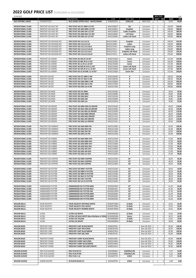| 25.04.2022                                             |                                                      |                                                                        |                          |                                            |                        | <b>INDV STICK</b>                                  |                  | <b>EUR</b>       |
|--------------------------------------------------------|------------------------------------------------------|------------------------------------------------------------------------|--------------------------|--------------------------------------------|------------------------|----------------------------------------------------|------------------|------------------|
|                                                        |                                                      | <b>DESCRIPTION</b>                                                     | CODE                     | FLEX / SIZE                                |                        | <b>WSP</b><br><b>SRP</b>                           | <b>WSP</b>       | <b>SRP</b>       |
| W/S APPAREL LADIES                                     | <b>FASHION POLO</b>                                  | W/S LADIES ZIPPED POLO - WHITE/GREEN                                   | WG6003203+               | S/M/L/XL                                   | <b>NEW 2022</b>        | 0<br>0                                             | 23,00            | 44,99            |
| <b>RECREATIONAL CLUBS</b>                              | PROSTAFF SGI HALF SET                                | PRO STAFF SGI STL MRH 1/2 SET                                          | WGG150007+               | Std                                        | Carryover              | 0<br>0                                             | 220,00           | 350,00           |
| <b>RECREATIONAL CLUBS</b>                              | PROSTAFF SGI HALF SET                                | PRO STAFF SGI GRA MRH 1/2 SET                                          | WGG150001+               | Graphite                                   | Carryover              | 0<br>0                                             | 240,00           | 380,00           |
| <b>RECREATIONAL CLUBS</b><br><b>RECREATIONAL CLUBS</b> | PROSTAFF SGI HALF SET<br>PROSTAFF SGI HALF SET       | PRO STAFF SGI GRA LRH 1/2 SET<br>PRO STAFF SGI GRA MLH 1/2 SET         | WGG150003+<br>WGG150005+ | <b>Ladies Graphite</b><br><b>Left Hand</b> | Carryover<br>Carryover | 0<br>0<br>0<br>0                                   | 240,00<br>240,00 | 380,00<br>380,00 |
| <b>RECREATIONAL CLUBS</b>                              | PROSTAFF SGI HALF SFT                                | PRO STAFF SGI GRA LLH 1/2 SET                                          | WGG150006+               | <b>Ladies Left Hand</b>                    | Carryover              | 0<br>0                                             | 240,00           | 380,00           |
|                                                        |                                                      |                                                                        |                          |                                            |                        |                                                    |                  |                  |
| <b>RECREATIONAL CLUBS</b>                              | PROSTAFF SGI PACKAGE SET                             | PRO STAFF SGI 3,4,5-S,P,G                                              | WGG157608+               | Graphite                                   | Carryover              | 0<br>0                                             | 258,00           | 435,00           |
| <b>RECREATIONAL CLUBS</b><br><b>RECREATIONAL CLUBS</b> | PROSTAFF SGI PACKAGE SET<br>PROSTAFF SGI PACKAGE SET | PRO STAFF SGI 5,5,6-S,P,LD<br>PRO STAFF SGI 3,4,5-S,P,LN,G             | WGG157609+<br>WGG157610+ | Ladies<br><b>Graphite Long</b>             | Carryover<br>Carryover | 0<br>$\pmb{\mathit{o}}$<br>$\pmb{\mathit{o}}$<br>0 | 234,00<br>258,00 | 400,00<br>435,00 |
| <b>RECREATIONAL CLUBS</b>                              | PROSTAFF SGI PACKAGE SET                             | PRO STAFF SGI 5,5,6-S,P,LD,LN                                          | WGG157611+               | <b>Ladies Long</b>                         | Carryover              | $\it{O}$<br>0                                      | 234,00           | 400,00           |
| <b>RECREATIONAL CLUBS</b>                              | PROSTAFF SGI PACKAGE SET                             | PRO STAFF SGI 3,4,5-S,P,LH,G                                           | WGG157612+               | <b>Graphite Left Hand</b>                  | Carryover              | 0<br>0                                             | 258,00           | 435,00           |
| <b>RECREATIONAL CLUBS</b>                              | PROSTAFF SGI PACKAGE SET                             | PRO STAFF SGI 5,5,6-S,P,LD,LH                                          | WGG157613+               | <b>Ladies Left Hand</b>                    | Carryover              | 0<br>0                                             | 234,00           | 400,00           |
| <b>RECREATIONAL CLUBS</b>                              | PROSTAFF JGI JUNIOR                                  | PRO STAFF JGI SM JR 5-8 SET                                            | WGGC91820+               | Junior                                     | Carryover              | 0<br>0                                             | 127,00           | 210,00           |
| <b>RECREATIONAL CLUBS</b>                              | PROSTAFF JGI JUNIOR                                  | PRO STAFF JGI MD JR 8-11 SET                                           | WGGC91830+               | Junior                                     | Carryover              | 0<br>0                                             | 145,00           | 240,00           |
| <b>RECREATIONAL CLUBS</b>                              | PROSTAFF JGI JUNIOR                                  | PRO STAFF JGI LG JR 11-14 SET                                          | WGGC91840+               | Junior                                     | Carryover              | 0<br>0                                             | 157,00           | 260,00           |
| <b>RECREATIONAL CLUBS</b>                              | PROSTAFF JGI JUNIOR                                  | PRO STAFF JGI MD JR LH 8-11 SET                                        | WGGC91850+               | Junior Left Hand                           | Carryover              | 0<br>0                                             | 145,00           | 240,00           |
| <b>RECREATIONAL CLUBS</b><br><b>RECREATIONAL CLUBS</b> | PROSTAFF JGI JUNIOR<br>PROSTAFF JGI JUNIOR           | PRO STAFF JGI SM JR LH 11-14 SET<br>PRO STAFF JGI LG JR GIRL 11-14 SET | WGGC91890+<br>WGGC91860+ | Junior Left Hand<br><b>Junior Girl</b>     | Carryover<br>Carryover | 0<br>0<br>0<br>0                                   | 157,00<br>157,00 | 260,00<br>260,00 |
|                                                        |                                                      |                                                                        |                          |                                            |                        |                                                    |                  |                  |
| <b>RECREATIONAL CLUBS</b>                              | <b>PROSTAFF SGI SET</b>                              | PRO STAFF SGI STL MRH 5-SW                                             | WGD158200+               | R                                          | Carryover              | 0<br>0                                             | 199,50           | 315,00           |
| <b>RECREATIONAL CLUBS</b>                              | PROSTAFF SGI SET                                     | PRO STAFF SGI STL MLH 5-SW                                             | WGD158250+               | R                                          | Carryover              | 0<br>0                                             | 199,50           | 315,00           |
| <b>RECREATIONAL CLUBS</b><br><b>RECREATIONAL CLUBS</b> | <b>PROSTAFF SGI SET</b><br><b>PROSTAFF SGI SET</b>   | PRO STAFF SGI GRA MRH 5-SW<br>PRO STAFF SGI GRA LRH 6-SW               | WGD158000+<br>WGD157400+ | R<br>R                                     | Carryover              | 0<br>0<br>0                                        | 243,60<br>208,80 | 385,00<br>330,00 |
| <b>RECREATIONAL CLUBS</b>                              | <b>PROSTAFF SGI SET</b>                              | PRO STAFF SGI GRA LLH 6-SW                                             | WGD157500+               | R                                          | Carryover<br>Carryover | $\pmb{\mathit{o}}$<br>0<br>0                       | 208,80           | 330,00           |
|                                                        |                                                      |                                                                        |                          |                                            |                        |                                                    |                  |                  |
| <b>RECREATIONAL CLUBS</b>                              | PROSTAFF SGI IRON                                    | PRO STAFF SGI STL MRH                                                  | WGD150200+               | R                                          | Carryover              | 0<br>0                                             | 28,50            | 45,00            |
| <b>RECREATIONAL CLUBS</b><br><b>RECREATIONAL CLUBS</b> | PROSTAFF SGI IRON                                    | PRO STAFF SGI GRA MRH<br>PRO STAFF SGI GRA MLH                         | WGD150000+               | R                                          | Carryover              | 0<br>0                                             | 34,80            | 55,00            |
| <b>RECREATIONAL CLUBS</b>                              | PROSTAFF SGI IRON<br>PROSTAFF SGI IRON               | PRO STAFF SGI GRA LRH                                                  | WGD150100+<br>WGD150400+ | ${\sf R}$<br>${\sf R}$                     | Carryover<br>Carryover | 0<br>0<br>0<br>0                                   | 34,80<br>34,80   | 55,00<br>55,00   |
| <b>RECREATIONAL CLUBS</b>                              | PROSTAFF SGI IRON                                    | PRO STAFF SGI GRA LLH                                                  | WGD150500+               | R                                          | Carryover              | 0<br>0                                             | 34,80            | 55,00            |
|                                                        |                                                      |                                                                        |                          |                                            |                        |                                                    |                  |                  |
| <b>RECREATIONAL CLUBS</b>                              | PROSTAFF SGI DRIVER                                  | PRO STAFF SGI MRH GRA OS DRIVER                                        | WGD154100+               | R                                          | Carryover              | 0<br>0                                             | 69,50            | 110,00           |
| <b>RECREATIONAL CLUBS</b><br><b>RECREATIONAL CLUBS</b> | PROSTAFF SGI DRIVER<br>PROSTAFF SGI DRIVER           | PRO STAFF SGI MLH GRA OS DRIVER<br>PRO STAFF SGI LRH GRA OS DRIVER     | WGD154200+<br>WGD154300+ | ${\sf R}$<br>R                             | Carryover<br>Carryover | $\it{O}$<br>0<br>0<br>0                            | 69,50<br>69,50   | 110,00<br>110,00 |
| <b>RECREATIONAL CLUBS</b>                              | PROSTAFF SGI DRIVER                                  | PRO STAFF SGI GRA MRH DRIVER                                           | WGD151001+               | R                                          | Carryover              | 0<br>0                                             | 69,50            | 110,00           |
| <b>RECREATIONAL CLUBS</b>                              | PROSTAFF SGI DRIVER                                  | PRO STAFF SGI GRA MLH DRIVER                                           | WGD151101+               | R                                          | Carryover              | 0<br>0                                             | 69,50            | 110,00           |
| <b>RECREATIONAL CLUBS</b>                              | PROSTAFF SGI DRIVER                                  | PRO STAFF SGI GRA LRH DRIVER                                           | WGD151401+               | R                                          | Carryover              | 0<br>0                                             | 69,50            | 110,00           |
| <b>RECREATIONAL CLUBS</b>                              | <b>PROSTAFF SGI DRIVER</b>                           | PRO STAFF SGI GRA LLH DRIVER                                           | WGD151501+               | R                                          | Carryover              | 0<br>0                                             | 69,50            | 110,00           |
| <b>RECREATIONAL CLUBS</b>                              | PROSTAFF SGI FAIRWAY                                 | PRO STAFF SGI GRA MRH FW                                               | WGD151000+               | R                                          | Carryover              | 0<br>0                                             | 63,40            | 100,00           |
| <b>RECREATIONAL CLUBS</b>                              | PROSTAFF SGI FAIRWAY                                 | PRO STAFF SGI GRA MLH FW                                               | WGD151100+               | R                                          | Carryover              | 0<br>0                                             | 63,40            | 100,00           |
| <b>RECREATIONAL CLUBS</b>                              | PROSTAFF SGI FAIRWAY                                 | PRO STAFF SGI GRA LRH FW                                               | WGD151400+               | ${\sf R}$                                  | Carryover              | 0<br>0                                             | 63,40            | 100,00           |
| <b>RECREATIONAL CLUBS</b>                              | PROSTAFF SGI FAIRWAY                                 | PRO STAFF SGI GRA LLH FW                                               | WGD151500+               | ${\sf R}$                                  | Carryover              | 0<br>0                                             | 63,40            | 100,00           |
| <b>RECREATIONAL CLUBS</b>                              | PROSTAFF SGI HYBRID                                  | PRO STAFF SGI GRA MRH 3HY                                              | WGD151600+               | ${\sf R}$                                  | Carryover              | 0<br>0                                             | 57,00            | 90,00            |
| <b>RECREATIONAL CLUBS</b>                              | PROSTAFF SGI HYBRID                                  | PRO STAFF SGI GRA MRH 4HY                                              | WGD151700+               | ${\sf R}$                                  | Carryover              | 0<br>0                                             | 57,00            | 90,00            |
| <b>RECREATIONAL CLUBS</b>                              | PROSTAFF SGI HYBRID                                  | PRO STAFF SGI GRA MRH 5HY                                              | WGD151800+               | R                                          | Carryover              | 0<br>0                                             | 57,00            | 90,00            |
| <b>RECREATIONAL CLUBS</b><br><b>RECREATIONAL CLUBS</b> | PROSTAFF SGI HYBRID                                  | PRO STAFF SGI GRA MLH 4HY                                              | WGD151900+               | R                                          | Carryover              | 0<br>0                                             | 57,00            | 90,00            |
| <b>RECREATIONAL CLUBS</b>                              | PROSTAFF SGI HYBRID<br>PROSTAFF SGI HYBRID           | PRO STAFF SGI GRA LRH 5HY<br>PRO STAFF SGI GRA LRH 6HY                 | WGD152000+<br>WGD152100+ | R<br>R                                     | Carryover<br>Carryover | 0<br>0<br>0<br>0                                   | 57,00<br>57,00   | 90,00<br>90,00   |
| <b>RECREATIONAL CLUBS</b>                              | PROSTAFF SGI HYBRID                                  | PRO STAFF SGI GRA LLH 5HY                                              | WGD152200+               | R                                          | Carryover              | 0<br>0                                             | 57,00            | 90,00            |
|                                                        |                                                      |                                                                        |                          |                                            |                        |                                                    |                  |                  |
| <b>RECREATIONAL CLUBS</b>                              | PROSTAFF SGI CHIPPER                                 | PRO STAFF SGI MRH CHIPPER                                              | WGD152300+               | 35"                                        | Carryover              | 0<br>0                                             | 28,50            | 45,00            |
| <b>RECREATIONAL CLUBS</b><br><b>RECREATIONAL CLUBS</b> | PROSTAFF SGI CHIPPER<br>PROSTAFF SGI CHIPPER         | PRO STAFF SGI MLH CHIPPER<br>PRO STAFF SGI LRH CHIPPER                 | WGD152350+<br>WGD152400+ | 35"<br>34"                                 | Carryover<br>Carryover | 0<br>0<br>$\mathcal O$<br>0                        | 28,50<br>28,50   | 45,00<br>45,00   |
|                                                        |                                                      |                                                                        |                          |                                            |                        |                                                    |                  |                  |
| <b>RECREATIONAL CLUBS</b>                              | PROSTAFF SGI PUTTER                                  | PRO STAFF SGI MRH I PUTTER                                             | WGD153100+               | 35"                                        | Carryover              | 0<br>0                                             | 28,50            | 45,00            |
| <b>RECREATIONAL CLUBS</b>                              | PROSTAFF SGI PUTTER                                  | PRO STAFF SGI MRH II PUTTER                                            | WGD153200+               | 35"                                        | Carryover              | 0<br>0                                             | 28,50            | 45,00            |
| <b>RECREATIONAL CLUBS</b><br><b>RECREATIONAL CLUBS</b> | PROSTAFF SGI PUTTER<br>PROSTAFF SGI PUTTER           | PRO STAFF SGI MRH III PUTTER<br>PRO STAFF SGI MLH IV PUTTER            | WGD153300+<br>WGD153400+ | 35"<br>35"                                 | Carryover<br>Carryover | 0<br>0<br>0<br>0                                   | 28,50<br>28,50   | 45,00<br>45,00   |
| <b>RECREATIONAL CLUBS</b>                              | PROSTAFF SGI PUTTER                                  | PRO STAFF SGI LRH I PUTTER                                             | WGD153500+               | 34"                                        | Carryover              | 0<br>0                                             | 28,50            | 45,00            |
| <b>RECREATIONAL CLUBS</b>                              | PROSTAFF SGI PUTTER                                  | PRO STAFF SGI LLH IV PUTTER                                            | WGD153600+               | 34"                                        | Carryover              | 0<br>0                                             | 28,50            | 45,00            |
|                                                        |                                                      |                                                                        |                          |                                            |                        |                                                    |                  |                  |
| <b>RECREATIONAL CLUBS</b><br><b>RECREATIONAL CLUBS</b> | HARMONIZED PUTTER<br>HARMONIZED PUTTER               | HARMONIZED M1 PUTTER MRH<br>HARMONIZED M1 PUTTER MLH                   | WGD601000+<br>WGD60100L+ | 35"<br>35"                                 | Carryover<br>Carryover | 0<br>0<br>0<br>0                                   | 41,20<br>41,20   | 65,00<br>65,00   |
| <b>RECREATIONAL CLUBS</b>                              | HARMONIZED PUTTER                                    | <b>HARMONIZED M1 PUTTER LRH</b>                                        | WGD60100W+               | 34"                                        | Carryover              | 0<br>0                                             | 41,20            | 65,00            |
| RECREATIONAL CLUBS                                     | <b>HARMONIZED PUTTER</b>                             | HARMONIZED M2 PUTTER MRH                                               | WGD602000+               | 35"                                        | Carryover              | 0<br>0                                             | 41,20            | 65,00            |
| <b>RECREATIONAL CLUBS</b>                              | HARMONIZED PUTTER<br>HARMONIZED PUTTER               | HARMONIZED M3 PUTTER MRH                                               | WGD603000+               | 35"<br>35"                                 | Carryover              | 0<br>0                                             | 41,20            | 65,00            |
| <b>RECREATIONAL CLUBS</b>                              |                                                      | HARMONIZED M5 PUTTER MRH                                               | WGD605000+               |                                            | Carryover              | 0<br>0                                             | 41,20            | 65,00            |
| <b>WILSON BALLS</b>                                    | <b>TOUR VELOCITY</b>                                 | TOUR VELOCITY DISTANCE WHITE                                           | WGWR72000+               | 15 Balls                                   | Carryover              | 0<br>0                                             | 14,55            | 22,99            |
| <b>WILSON BALLS</b>                                    | <b>TOUR VELOCITY</b>                                 | TOUR VELOCITY FEEL WHITE                                               | WGWR75000+               | 15 Balls                                   | Carryover              | 0<br>0                                             | 14,55            | 22,99            |
| <b>WILSON BALLS</b>                                    | <b>TOUR VELOCITY</b>                                 | TOUR VELOCITY WOMEN WHITE                                              | WGWR74000+               | 15 Balls                                   | Carryover              | 0<br>0                                             | 14,55            | 22,99            |
| <b>WILSON BALLS</b>                                    | ULTRA                                                | <b>ULTRA LUE WHITE</b>                                                 | WGWR60500+               | 15 Balls                                   | Carryover              | 0<br>0                                             | 12,65            | 19,99            |
| <b>WILSON BALLS</b>                                    | <b>ULTRA</b>                                         | ULTRA LUE BULK WHITE (Buy Multiples of 24Dz)                           | WGWR605B0+               | Dozen                                      | Carryover              | 0<br>0                                             | 10,75            | 16,99            |
| <b>WILSON BALLS</b>                                    | <b>ULTRA</b>                                         | ULTRA LUE YELLOW                                                       | WGWR60600+               | 15 Balls                                   | Carryover              | 0<br>0                                             | 12,65            | 19,99            |
| <b>WILSON BALLS</b>                                    | ULTRA                                                | <b>ULTRA LUE WHITE</b>                                                 | WGWR60800+               | 24 Balls                                   | Carryover              | 0<br>$\it{O}$                                      | 18,60            | 29,99            |
| <b>WILSON BAGS</b>                                     | PROSTAFF CART                                        | PROSTAFF CART BLACK/WHITE                                              | WGB5307BL+               |                                            | New Q4 2021            | 0<br>0                                             | 95,00            | 149,99           |
| <b>WILSON BAGS</b>                                     | <b>PROSTAFF CART</b>                                 | PROSTAFF CART NAVY/RED                                                 | WGB5307NA+               |                                            | New Q4 2021            | 0<br>0                                             | 95,00            | 149,99           |
| <b>WILSON BAGS</b>                                     | PROSTAFF CART                                        | PROSTAFF CART BLUE/GREEN                                               | WGB5307BU+               |                                            | New Q4 2021            | 0<br>0                                             | 95,00            | 149,99           |
| <b>WILSON BAGS</b>                                     | PROSTAFF CART                                        | PROSTAFF CART (W) JADE                                                 | WGB5307JA+               |                                            | New Q4 2021            | 0<br>0                                             | 95,00            | 149,99           |
| <b>WILSON BAGS</b>                                     | PROSTAFF STAND                                       | PROSTAFF CARRY BLACK/WHITE                                             | WGB3310BL+               |                                            | New Q4 2021            | 0<br>0                                             | 95,00            | 149,99           |
| <b>WILSON BAGS</b>                                     | <b>PROSTAFF STAND</b>                                | PROSTAFF CARRY NAVY/RED                                                | WGB3310NA+               |                                            | New Q4 2021            | 0<br>0                                             | 95,00            | 149,99           |
| <b>WILSON BAGS</b>                                     | <b>PROSTAFF STAND</b>                                | PROSTAFF CARRY BLUE/GREEN                                              | WGB3310BU+               |                                            | New Q4 2021            | 0<br>0                                             | 95,00            | 149,99           |
| <b>WILSON BAGS</b>                                     | PROSTAFF STAND                                       | PROSTAFF CARRY (W) GREY/WHITE                                          | WGB3310GY+               |                                            | New Q4 2021            | 0<br>0                                             | 95,00            | 149,99           |
| <b>WILSON GLOVES</b>                                   | FEEL PLUS GLOVES                                     | FEEL PLUS M LH                                                         | WGJA00064+               | S/M/ML/L/XL                                | Carryover              | 0<br>0                                             | 6,75             | 10,99            |
| <b>WILSON GLOVES</b>                                   | FEEL PLUS GLOVES                                     | FEEL PLUS M RH                                                         | WGJA00065+               | S/M/ML/L/XL                                | Carryover              | 0<br>0                                             | 6,75             | 10,99            |
| <b>WILSON GLOVES</b>                                   | FEEL PLUS GLOVES                                     | FEEL PLUS L LH                                                         | WGJA00770+               | S/M/L                                      | Carryover              | 0<br>0                                             | 6,75             | 10,99            |
|                                                        |                                                      |                                                                        |                          |                                            |                        |                                                    |                  |                  |
| <b>WILSON GLOVES</b>                                   | <b>JUNIOR GLOVES</b>                                 | JR GLOVE BLACK LH                                                      | WGJA00790+               | S/M/L                                      | Carryover              | 0<br>0                                             | 5,00             | 9,00             |
|                                                        |                                                      |                                                                        |                          |                                            |                        |                                                    |                  |                  |